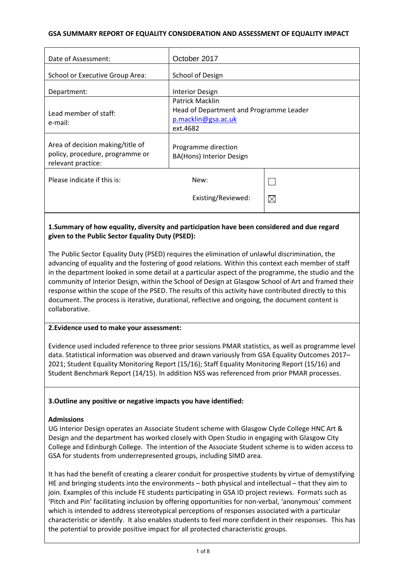## **GSA SUMMARY REPORT OF EQUALITY CONSIDERATION AND ASSESSMENT OF EQUALITY IMPACT**

| Date of Assessment:                                                                       | October 2017                                                                                         |             |
|-------------------------------------------------------------------------------------------|------------------------------------------------------------------------------------------------------|-------------|
| <b>School or Executive Group Area:</b>                                                    | School of Design                                                                                     |             |
| Department:                                                                               | <b>Interior Design</b>                                                                               |             |
| Lead member of staff:<br>e-mail:                                                          | <b>Patrick Macklin</b><br>Head of Department and Programme Leader<br>p.macklin@gsa.ac.uk<br>ext.4682 |             |
| Area of decision making/title of<br>policy, procedure, programme or<br>relevant practice: | Programme direction<br><b>BA(Hons) Interior Design</b>                                               |             |
| Please indicate if this is:                                                               | New:<br>Existing/Reviewed:                                                                           | $\boxtimes$ |
|                                                                                           |                                                                                                      |             |

# **1.Summary of how equality, diversity and participation have been considered and due regard given to the Public Sector Equality Duty (PSED):**

The Public Sector Equality Duty (PSED) requires the elimination of unlawful discrimination, the advancing of equality and the fostering of good relations. Within this context each member of staff in the department looked in some detail at a particular aspect of the programme, the studio and the community of Interior Design, within the School of Design at Glasgow School of Art and framed their response within the scope of the PSED. The results of this activity have contributed directly to this document. The process is iterative, durational, reflective and ongoing, the document content is collaborative.

# **2.Evidence used to make your assessment:**

Evidence used included reference to three prior sessions PMAR statistics, as well as programme level data. Statistical information was observed and drawn variously from GSA Equality Outcomes 2017– 2021; Student Equality Monitoring Report (15/16); Staff Equality Monitoring Report (15/16) and Student Benchmark Report (14/15). In addition NSS was referenced from prior PMAR processes.

#### **3.Outline any positive or negative impacts you have identified:**

### **Admissions**

UG Interior Design operates an Associate Student scheme with Glasgow Clyde College HNC Art & Design and the department has worked closely with Open Studio in engaging with Glasgow City College and Edinburgh College. The intention of the Associate Student scheme is to widen access to GSA for students from underrepresented groups, including SIMD area.

It has had the benefit of creating a clearer conduit for prospective students by virtue of demystifying HE and bringing students into the environments – both physical and intellectual – that they aim to join. Examples of this include FE students participating in GSA ID project reviews. Formats such as 'Pitch and Pin' facilitating inclusion by offering opportunities for non-verbal, 'anonymous' comment which is intended to address stereotypical perceptions of responses associated with a particular characteristic or identify. It also enables students to feel more confident in their responses. This has the potential to provide positive impact for all protected characteristic groups.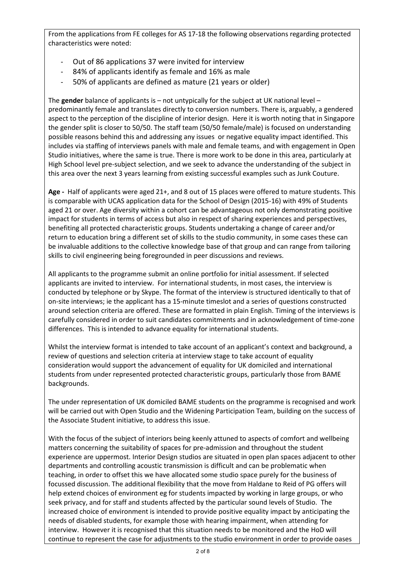From the applications from FE colleges for AS 17-18 the following observations regarding protected characteristics were noted:

- Out of 86 applications 37 were invited for interview
- 84% of applicants identify as female and 16% as male
- 50% of applicants are defined as mature (21 years or older)

The **gender** balance of applicants is – not untypically for the subject at UK national level – predominantly female and translates directly to conversion numbers. There is, arguably, a gendered aspect to the perception of the discipline of interior design. Here it is worth noting that in Singapore the gender split is closer to 50/50. The staff team (50/50 female/male) is focused on understanding possible reasons behind this and addressing any issues or negative equality impact identified. This includes via staffing of interviews panels with male and female teams, and with engagement in Open Studio initiatives, where the same is true. There is more work to be done in this area, particularly at High School level pre-subject selection, and we seek to advance the understanding of the subject in this area over the next 3 years learning from existing successful examples such as Junk Couture.

**Age -** Half of applicants were aged 21+, and 8 out of 15 places were offered to mature students. This is comparable with UCAS application data for the School of Design (2015-16) with 49% of Students aged 21 or over. Age diversity within a cohort can be advantageous not only demonstrating positive impact for students in terms of access but also in respect of sharing experiences and perspectives, benefiting all protected characteristic groups. Students undertaking a change of career and/or return to education bring a different set of skills to the studio community, in some cases these can be invaluable additions to the collective knowledge base of that group and can range from tailoring skills to civil engineering being foregrounded in peer discussions and reviews.

All applicants to the programme submit an online portfolio for initial assessment. If selected applicants are invited to interview. For international students, in most cases, the interview is conducted by telephone or by Skype. The format of the interview is structured identically to that of on-site interviews; ie the applicant has a 15-minute timeslot and a series of questions constructed around selection criteria are offered. These are formatted in plain English. Timing of the interviews is carefully considered in order to suit candidates commitments and in acknowledgement of time-zone differences. This is intended to advance equality for international students.

Whilst the interview format is intended to take account of an applicant's context and background, a review of questions and selection criteria at interview stage to take account of equality consideration would support the advancement of equality for UK domiciled and international students from under represented protected characteristic groups, particularly those from BAME backgrounds.

The under representation of UK domiciled BAME students on the programme is recognised and work will be carried out with Open Studio and the Widening Participation Team, building on the success of the Associate Student initiative, to address this issue.

With the focus of the subject of interiors being keenly attuned to aspects of comfort and wellbeing matters concerning the suitability of spaces for pre-admission and throughout the student experience are uppermost. Interior Design studios are situated in open plan spaces adjacent to other departments and controlling acoustic transmission is difficult and can be problematic when teaching, in order to offset this we have allocated some studio space purely for the business of focussed discussion. The additional flexibility that the move from Haldane to Reid of PG offers will help extend choices of environment eg for students impacted by working in large groups, or who seek privacy, and for staff and students affected by the particular sound levels of Studio. The increased choice of environment is intended to provide positive equality impact by anticipating the needs of disabled students, for example those with hearing impairment, when attending for interview. However it is recognised that this situation needs to be monitored and the HoD will continue to represent the case for adjustments to the studio environment in order to provide oases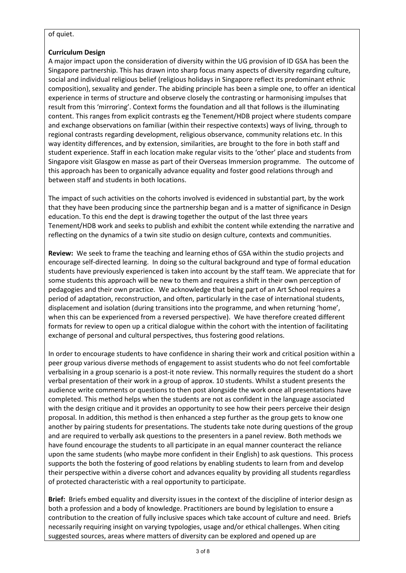## of quiet.

# **Curriculum Design**

A major impact upon the consideration of diversity within the UG provision of ID GSA has been the Singapore partnership. This has drawn into sharp focus many aspects of diversity regarding culture, social and individual religious belief (religious holidays in Singapore reflect its predominant ethnic composition), sexuality and gender. The abiding principle has been a simple one, to offer an identical experience in terms of structure and observe closely the contrasting or harmonising impulses that result from this 'mirroring'. Context forms the foundation and all that follows is the illuminating content. This ranges from explicit contrasts eg the Tenement/HDB project where students compare and exchange observations on familiar (within their respective contexts) ways of living, through to regional contrasts regarding development, religious observance, community relations etc. In this way identity differences, and by extension, similarities, are brought to the fore in both staff and student experience. Staff in each location make regular visits to the 'other' place and students from Singapore visit Glasgow en masse as part of their Overseas Immersion programme. The outcome of this approach has been to organically advance equality and foster good relations through and between staff and students in both locations.

The impact of such activities on the cohorts involved is evidenced in substantial part, by the work that they have been producing since the partnership began and is a matter of significance in Design education. To this end the dept is drawing together the output of the last three years Tenement/HDB work and seeks to publish and exhibit the content while extending the narrative and reflecting on the dynamics of a twin site studio on design culture, contexts and communities.

**Review:** We seek to frame the teaching and learning ethos of GSA within the studio projects and encourage self-directed learning. In doing so the cultural background and type of formal education students have previously experienced is taken into account by the staff team. We appreciate that for some students this approach will be new to them and requires a shift in their own perception of pedagogies and their own practice. We acknowledge that being part of an Art School requires a period of adaptation, reconstruction, and often, particularly in the case of international students, displacement and isolation (during transitions into the programme, and when returning 'home', when this can be experienced from a reversed perspective). We have therefore created different formats for review to open up a critical dialogue within the cohort with the intention of facilitating exchange of personal and cultural perspectives, thus fostering good relations.

In order to encourage students to have confidence in sharing their work and critical position within a peer group various diverse methods of engagement to assist students who do not feel comfortable verbalising in a group scenario is a post-it note review. This normally requires the student do a short verbal presentation of their work in a group of approx. 10 students. Whilst a student presents the audience write comments or questions to then post alongside the work once all presentations have completed. This method helps when the students are not as confident in the language associated with the design critique and it provides an opportunity to see how their peers perceive their design proposal. In addition, this method is then enhanced a step further as the group gets to know one another by pairing students for presentations. The students take note during questions of the group and are required to verbally ask questions to the presenters in a panel review. Both methods we have found encourage the students to all participate in an equal manner counteract the reliance upon the same students (who maybe more confident in their English) to ask questions. This process supports the both the fostering of good relations by enabling students to learn from and develop their perspective within a diverse cohort and advances equality by providing all students regardless of protected characteristic with a real opportunity to participate.

**Brief:** Briefs embed equality and diversity issues in the context of the discipline of interior design as both a profession and a body of knowledge. Practitioners are bound by legislation to ensure a contribution to the creation of fully inclusive spaces which take account of culture and need. Briefs necessarily requiring insight on varying typologies, usage and/or ethical challenges. When citing suggested sources, areas where matters of diversity can be explored and opened up are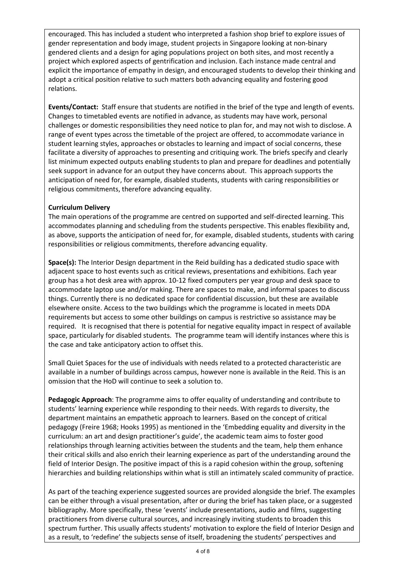encouraged. This has included a student who interpreted a fashion shop brief to explore issues of gender representation and body image, student projects in Singapore looking at non-binary gendered clients and a design for aging populations project on both sites, and most recently a project which explored aspects of gentrification and inclusion. Each instance made central and explicit the importance of empathy in design, and encouraged students to develop their thinking and adopt a critical position relative to such matters both advancing equality and fostering good relations.

**Events/Contact:** Staff ensure that students are notified in the brief of the type and length of events. Changes to timetabled events are notified in advance, as students may have work, personal challenges or domestic responsibilities they need notice to plan for, and may not wish to disclose. A range of event types across the timetable of the project are offered, to accommodate variance in student learning styles, approaches or obstacles to learning and impact of social concerns, these facilitate a diversity of approaches to presenting and critiquing work. The briefs specify and clearly list minimum expected outputs enabling students to plan and prepare for deadlines and potentially seek support in advance for an output they have concerns about. This approach supports the anticipation of need for, for example, disabled students, students with caring responsibilities or religious commitments, therefore advancing equality.

# **Curriculum Delivery**

The main operations of the programme are centred on supported and self-directed learning. This accommodates planning and scheduling from the students perspective. This enables flexibility and, as above, supports the anticipation of need for, for example, disabled students, students with caring responsibilities or religious commitments, therefore advancing equality.

**Space(s):** The Interior Design department in the Reid building has a dedicated studio space with adjacent space to host events such as critical reviews, presentations and exhibitions. Each year group has a hot desk area with approx. 10-12 fixed computers per year group and desk space to accommodate laptop use and/or making. There are spaces to make, and informal spaces to discuss things. Currently there is no dedicated space for confidential discussion, but these are available elsewhere onsite. Access to the two buildings which the programme is located in meets DDA requirements but access to some other buildings on campus is restrictive so assistance may be required. It is recognised that there is potential for negative equality impact in respect of available space, particularly for disabled students. The programme team will identify instances where this is the case and take anticipatory action to offset this.

Small Quiet Spaces for the use of individuals with needs related to a protected characteristic are available in a number of buildings across campus, however none is available in the Reid. This is an omission that the HoD will continue to seek a solution to.

**Pedagogic Approach**: The programme aims to offer equality of understanding and contribute to students' learning experience while responding to their needs. With regards to diversity, the department maintains an empathetic approach to learners. Based on the concept of critical pedagogy (Freire 1968; Hooks 1995) as mentioned in the 'Embedding equality and diversity in the curriculum: an art and design practitioner's guide', the academic team aims to foster good relationships through learning activities between the students and the team, help them enhance their critical skills and also enrich their learning experience as part of the understanding around the field of Interior Design. The positive impact of this is a rapid cohesion within the group, softening hierarchies and building relationships within what is still an intimately scaled community of practice.

As part of the teaching experience suggested sources are provided alongside the brief. The examples can be either through a visual presentation, after or during the brief has taken place, or a suggested bibliography. More specifically, these 'events' include presentations, audio and films, suggesting practitioners from diverse cultural sources, and increasingly inviting students to broaden this spectrum further. This usually affects students' motivation to explore the field of Interior Design and as a result, to 'redefine' the subjects sense of itself, broadening the students' perspectives and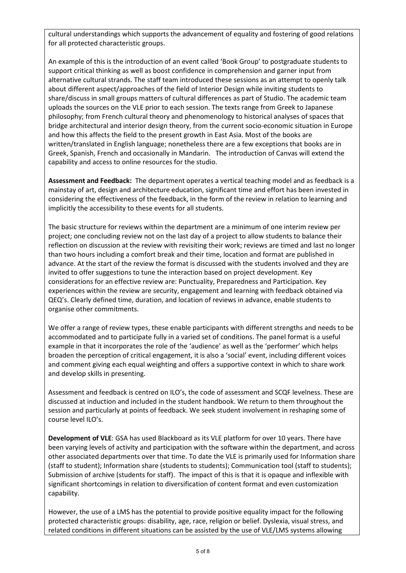cultural understandings which supports the advancement of equality and fostering of good relations for all protected characteristic groups.

An example of this is the introduction of an event called 'Book Group' to postgraduate students to support critical thinking as well as boost confidence in comprehension and garner input from alternative cultural strands. The staff team introduced these sessions as an attempt to openly talk about different aspect/approaches of the field of Interior Design while inviting students to share/discuss in small groups matters of cultural differences as part of Studio. The academic team uploads the sources on the VLE prior to each session. The texts range from Greek to Japanese philosophy; from French cultural theory and phenomenology to historical analyses of spaces that bridge architectural and interior design theory, from the current socio-economic situation in Europe and how this affects the field to the present growth in East Asia. Most of the books are written/translated in English language; nonetheless there are a few exceptions that books are in Greek, Spanish, French and occasionally in Mandarin. The introduction of Canvas will extend the capability and access to online resources for the studio.

**Assessment and Feedback:** The department operates a vertical teaching model and as feedback is a mainstay of art, design and architecture education, significant time and effort has been invested in considering the effectiveness of the feedback, in the form of the review in relation to learning and implicitly the accessibility to these events for all students.

The basic structure for reviews within the department are a minimum of one interim review per project; one concluding review not on the last day of a project to allow students to balance their reflection on discussion at the review with revisiting their work; reviews are timed and last no longer than two hours including a comfort break and their time, location and format are published in advance. At the start of the review the format is discussed with the students involved and they are invited to offer suggestions to tune the interaction based on project development. Key considerations for an effective review are: Punctuality, Preparedness and Participation. Key experiences within the review are security, engagement and learning with feedback obtained via QEQ's. Clearly defined time, duration, and location of reviews in advance, enable students to organise other commitments.

We offer a range of review types, these enable participants with different strengths and needs to be accommodated and to participate fully in a varied set of conditions. The panel format is a useful example in that it incorporates the role of the 'audience' as well as the 'performer' which helps broaden the perception of critical engagement, it is also a 'social' event, including different voices and comment giving each equal weighting and offers a supportive context in which to share work and develop skills in presenting.

Assessment and feedback is centred on ILO's, the code of assessment and SCQF levelness. These are discussed at induction and included in the student handbook. We return to them throughout the session and particularly at points of feedback. We seek student involvement in reshaping some of course level ILO's.

**Development of VLE**: GSA has used Blackboard as its VLE platform for over 10 years. There have been varying levels of activity and participation with the software within the department, and across other associated departments over that time. To date the VLE is primarily used for Information share (staff to student); Information share (students to students); Communication tool (staff to students); Submission of archive (students for staff). The impact of this is that it is opaque and inflexible with significant shortcomings in relation to diversification of content format and even customization capability.

However, the use of a LMS has the potential to provide positive equality impact for the following protected characteristic groups: disability, age, race, religion or belief. Dyslexia, visual stress, and related conditions in different situations can be assisted by the use of VLE/LMS systems allowing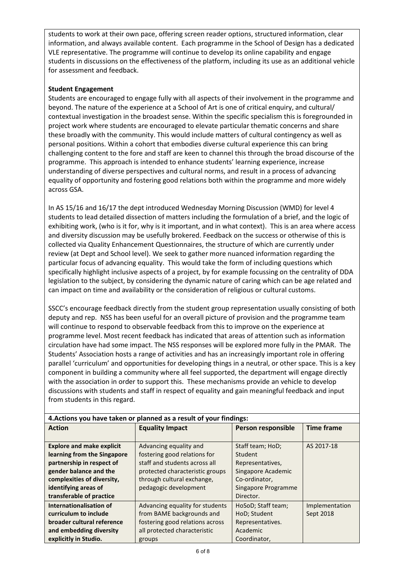students to work at their own pace, offering screen reader options, structured information, clear information, and always available content. Each programme in the School of Design has a dedicated VLE representative. The programme will continue to develop its online capability and engage students in discussions on the effectiveness of the platform, including its use as an additional vehicle for assessment and feedback.

# **Student Engagement**

Students are encouraged to engage fully with all aspects of their involvement in the programme and beyond. The nature of the experience at a School of Art is one of critical enquiry, and cultural/ contextual investigation in the broadest sense. Within the specific specialism this is foregrounded in project work where students are encouraged to elevate particular thematic concerns and share these broadly with the community. This would include matters of cultural contingency as well as personal positions. Within a cohort that embodies diverse cultural experience this can bring challenging content to the fore and staff are keen to channel this through the broad discourse of the programme. This approach is intended to enhance students' learning experience, increase understanding of diverse perspectives and cultural norms, and result in a process of advancing equality of opportunity and fostering good relations both within the programme and more widely across GSA.

In AS 15/16 and 16/17 the dept introduced Wednesday Morning Discussion (WMD) for level 4 students to lead detailed dissection of matters including the formulation of a brief, and the logic of exhibiting work, (who is it for, why is it important, and in what context). This is an area where access and diversity discussion may be usefully brokered. Feedback on the success or otherwise of this is collected via Quality Enhancement Questionnaires, the structure of which are currently under review (at Dept and School level). We seek to gather more nuanced information regarding the particular focus of advancing equality. This would take the form of including questions which specifically highlight inclusive aspects of a project, by for example focussing on the centrality of DDA legislation to the subject, by considering the dynamic nature of caring which can be age related and can impact on time and availability or the consideration of religious or cultural customs.

SSCC's encourage feedback directly from the student group representation usually consisting of both deputy and rep. NSS has been useful for an overall picture of provision and the programme team will continue to respond to observable feedback from this to improve on the experience at programme level. Most recent feedback has indicated that areas of attention such as information circulation have had some impact. The NSS responses will be explored more fully in the PMAR. The Students' Association hosts a range of activities and has an increasingly important role in offering parallel 'curriculum' and opportunities for developing things in a neutral, or other space. This is a key component in building a community where all feel supported, the department will engage directly with the association in order to support this. These mechanisms provide an vehicle to develop discussions with students and staff in respect of equality and gain meaningful feedback and input from students in this regard.

| 4. Actions you have taken or planned as a result of your findings: |                                 |                           |                   |
|--------------------------------------------------------------------|---------------------------------|---------------------------|-------------------|
| <b>Action</b>                                                      | <b>Equality Impact</b>          | <b>Person responsible</b> | <b>Time frame</b> |
|                                                                    |                                 |                           |                   |
| <b>Explore and make explicit</b>                                   | Advancing equality and          | Staff team; HoD;          | AS 2017-18        |
| learning from the Singapore                                        | fostering good relations for    | Student                   |                   |
| partnership in respect of                                          | staff and students across all   | Representatives,          |                   |
| gender balance and the                                             | protected characteristic groups | Singapore Academic        |                   |
| complexities of diversity,                                         | through cultural exchange,      | Co-ordinator,             |                   |
| identifying areas of                                               | pedagogic development           | Singapore Programme       |                   |
| transferable of practice                                           |                                 | Director.                 |                   |
| Internationalisation of                                            | Advancing equality for students | HoSoD; Staff team;        | Implementation    |
| curriculum to include                                              | from BAME backgrounds and       | HoD; Student              | Sept 2018         |
| broader cultural reference                                         | fostering good relations across | Representatives.          |                   |
| and embedding diversity                                            | all protected characteristic    | Academic                  |                   |
| explicitly in Studio.                                              | groups                          | Coordinator,              |                   |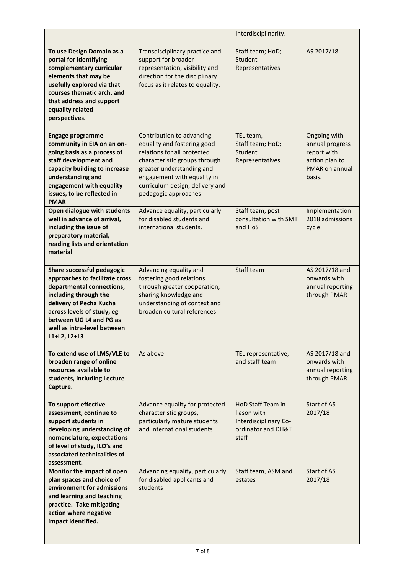|                                                                                                                                                                                                                                                       |                                                                                                                                                                                                                                                 | Interdisciplinarity.                                                                     |                                                                                              |
|-------------------------------------------------------------------------------------------------------------------------------------------------------------------------------------------------------------------------------------------------------|-------------------------------------------------------------------------------------------------------------------------------------------------------------------------------------------------------------------------------------------------|------------------------------------------------------------------------------------------|----------------------------------------------------------------------------------------------|
| To use Design Domain as a<br>portal for identifying<br>complementary curricular<br>elements that may be<br>usefully explored via that<br>courses thematic arch. and<br>that address and support<br>equality related<br>perspectives.                  | Transdisciplinary practice and<br>support for broader<br>representation, visibility and<br>direction for the disciplinary<br>focus as it relates to equality.                                                                                   | Staff team; HoD;<br>Student<br>Representatives                                           | AS 2017/18                                                                                   |
| <b>Engage programme</b><br>community in EIA on an on-<br>going basis as a process of<br>staff development and<br>capacity building to increase<br>understanding and<br>engagement with equality<br>issues, to be reflected in<br><b>PMAR</b>          | Contribution to advancing<br>equality and fostering good<br>relations for all protected<br>characteristic groups through<br>greater understanding and<br>engagement with equality in<br>curriculum design, delivery and<br>pedagogic approaches | TEL team,<br>Staff team; HoD;<br>Student<br>Representatives                              | Ongoing with<br>annual progress<br>report with<br>action plan to<br>PMAR on annual<br>basis. |
| Open dialogue with students<br>well in advance of arrival,<br>including the issue of<br>preparatory material,<br>reading lists and orientation<br>material                                                                                            | Advance equality, particularly<br>for disabled students and<br>international students.                                                                                                                                                          | Staff team, post<br>consultation with SMT<br>and HoS                                     | Implementation<br>2018 admissions<br>cycle                                                   |
| Share successful pedagogic<br>approaches to facilitate cross<br>departmental connections,<br>including through the<br>delivery of Pecha Kucha<br>across levels of study, eg<br>between UG L4 and PG as<br>well as intra-level between<br>L1+L2, L2+L3 | Advancing equality and<br>fostering good relations<br>through greater cooperation,<br>sharing knowledge and<br>understanding of context and<br>broaden cultural references                                                                      | Staff team                                                                               | AS 2017/18 and<br>onwards with<br>annual reporting<br>through PMAR                           |
| To extend use of LMS/VLE to<br>broaden range of online<br>resources available to<br>students, including Lecture<br>Capture.                                                                                                                           | As above                                                                                                                                                                                                                                        | TEL representative,<br>and staff team                                                    | AS 2017/18 and<br>onwards with<br>annual reporting<br>through PMAR                           |
| To support effective<br>assessment, continue to<br>support students in<br>developing understanding of<br>nomenclature, expectations<br>of level of study, ILO's and<br>associated technicalities of<br>assessment.                                    | Advance equality for protected<br>characteristic groups,<br>particularly mature students<br>and International students                                                                                                                          | HoD Staff Team in<br>liason with<br>Interdisciplinary Co-<br>ordinator and DH&T<br>staff | Start of AS<br>2017/18                                                                       |
| Monitor the impact of open<br>plan spaces and choice of<br>environment for admissions<br>and learning and teaching<br>practice. Take mitigating<br>action where negative<br>impact identified.                                                        | Advancing equality, particularly<br>for disabled applicants and<br>students                                                                                                                                                                     | Staff team, ASM and<br>estates                                                           | Start of AS<br>2017/18                                                                       |